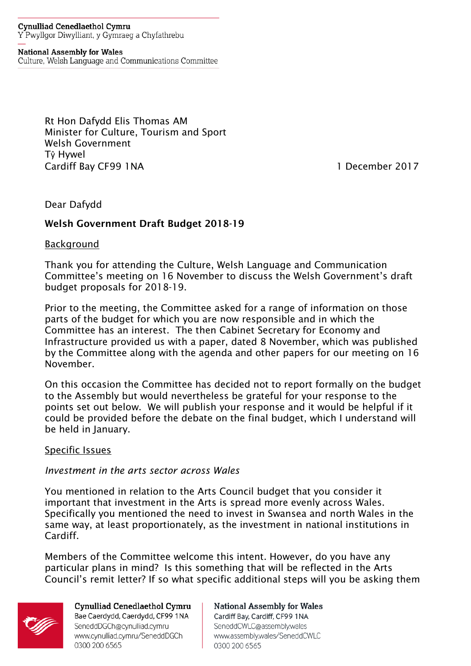#### **Cynulliad Cenedlaethol Cymru** Y Pwyllgor Diwylliant, y Gymraeg a Chyfathrebu

#### **National Assembly for Wales**

Culture, Welsh Language and Communications Committee

Rt Hon Dafydd Elis Thomas AM Minister for Culture, Tourism and Sport Welsh Government Tŷ Hywel Cardiff Bay CF99 1NA 1 December 2017

### Dear Dafydd

#### Welsh Government Draft Budget 2018-19

#### **Background**

Thank you for attending the Culture, Welsh Language and Communication Committee's meeting on 16 November to discuss the Welsh Government's draft budget proposals for 2018-19.

Prior to the meeting, the Committee asked for a range of information on those parts of the budget for which you are now responsible and in which the Committee has an interest. The then Cabinet Secretary for Economy and Infrastructure provided us with a paper, dated 8 November, which was published by the Committee along with the agenda and other papers for our meeting on 16 November.

On this occasion the Committee has decided not to report formally on the budget to the Assembly but would nevertheless be grateful for your response to the points set out below. We will publish your response and it would be helpful if it could be provided before the debate on the final budget, which I understand will be held in January.

#### Specific Issues

#### *Investment in the arts sector across Wales*

You mentioned in relation to the Arts Council budget that you consider it important that investment in the Arts is spread more evenly across Wales. Specifically you mentioned the need to invest in Swansea and north Wales in the same way, at least proportionately, as the investment in national institutions in Cardiff.

Members of the Committee welcome this intent. However, do you have any particular plans in mind? Is this something that will be reflected in the Arts Council's remit letter? If so what specific additional steps will you be asking them



**Cynulliad Cenedlaethol Cymru** Bae Caerdydd, Caerdydd, CF99 1NA SeneddDGCh@cynulliad.cymru www.cynulliad.cymru/SeneddDGCh 0300 200 6565

**National Assembly for Wales** Cardiff Bay, Cardiff, CF99 1NA SeneddCWLC@assembly.wales www.assembly.wales/SeneddCWLC 0300 200 6565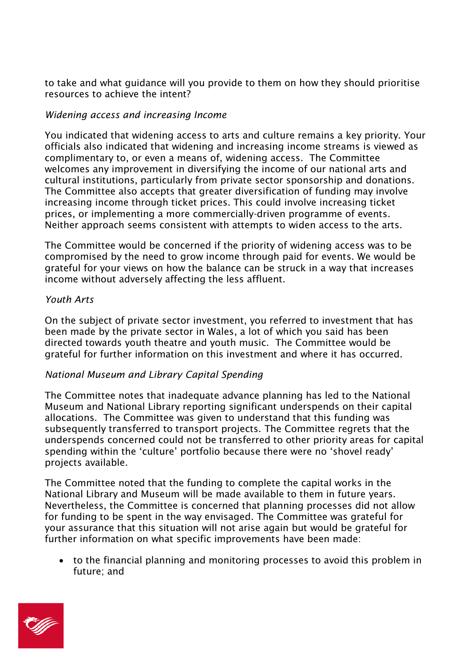to take and what guidance will you provide to them on how they should prioritise resources to achieve the intent?

### *Widening access and increasing Income*

You indicated that widening access to arts and culture remains a key priority. Your officials also indicated that widening and increasing income streams is viewed as complimentary to, or even a means of, widening access. The Committee welcomes any improvement in diversifying the income of our national arts and cultural institutions, particularly from private sector sponsorship and donations. The Committee also accepts that greater diversification of funding may involve increasing income through ticket prices. This could involve increasing ticket prices, or implementing a more commercially-driven programme of events. Neither approach seems consistent with attempts to widen access to the arts.

The Committee would be concerned if the priority of widening access was to be compromised by the need to grow income through paid for events. We would be grateful for your views on how the balance can be struck in a way that increases income without adversely affecting the less affluent.

## *Youth Arts*

On the subject of private sector investment, you referred to investment that has been made by the private sector in Wales, a lot of which you said has been directed towards youth theatre and youth music. The Committee would be grateful for further information on this investment and where it has occurred.

# *National Museum and Library Capital Spending*

The Committee notes that inadequate advance planning has led to the National Museum and National Library reporting significant underspends on their capital allocations. The Committee was given to understand that this funding was subsequently transferred to transport projects. The Committee regrets that the underspends concerned could not be transferred to other priority areas for capital spending within the 'culture' portfolio because there were no 'shovel ready' projects available.

The Committee noted that the funding to complete the capital works in the National Library and Museum will be made available to them in future years. Nevertheless, the Committee is concerned that planning processes did not allow for funding to be spent in the way envisaged. The Committee was grateful for your assurance that this situation will not arise again but would be grateful for further information on what specific improvements have been made:

 to the financial planning and monitoring processes to avoid this problem in future; and

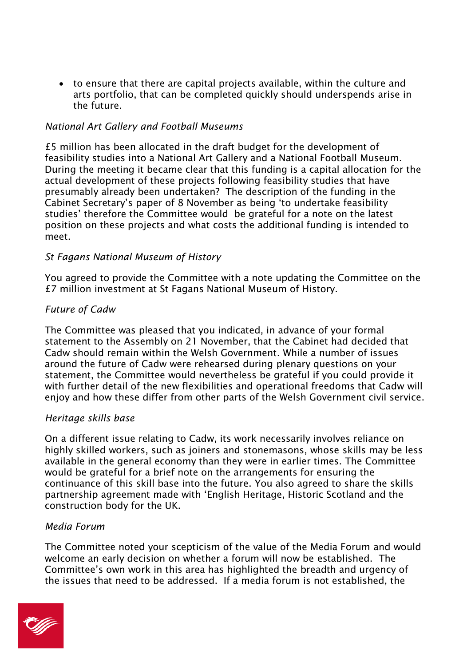to ensure that there are capital projects available, within the culture and arts portfolio, that can be completed quickly should underspends arise in the future.

## *National Art Gallery and Football Museums*

£5 million has been allocated in the draft budget for the development of feasibility studies into a National Art Gallery and a National Football Museum. During the meeting it became clear that this funding is a capital allocation for the actual development of these projects following feasibility studies that have presumably already been undertaken? The description of the funding in the Cabinet Secretary's paper of 8 November as being 'to undertake feasibility studies' therefore the Committee would be grateful for a note on the latest position on these projects and what costs the additional funding is intended to meet.

### *St Fagans National Museum of History*

You agreed to provide the Committee with a note updating the Committee on the £7 million investment at St Fagans National Museum of History.

### *Future of Cadw*

The Committee was pleased that you indicated, in advance of your formal statement to the Assembly on 21 November, that the Cabinet had decided that Cadw should remain within the Welsh Government. While a number of issues around the future of Cadw were rehearsed during plenary questions on your statement, the Committee would nevertheless be grateful if you could provide it with further detail of the new flexibilities and operational freedoms that Cadw will enjoy and how these differ from other parts of the Welsh Government civil service.

### *Heritage skills base*

On a different issue relating to Cadw, its work necessarily involves reliance on highly skilled workers, such as joiners and stonemasons, whose skills may be less available in the general economy than they were in earlier times. The Committee would be grateful for a brief note on the arrangements for ensuring the continuance of this skill base into the future. You also agreed to share the skills partnership agreement made with 'English Heritage, Historic Scotland and the construction body for the UK.

### *Media Forum*

The Committee noted your scepticism of the value of the Media Forum and would welcome an early decision on whether a forum will now be established. The Committee's own work in this area has highlighted the breadth and urgency of the issues that need to be addressed. If a media forum is not established, the